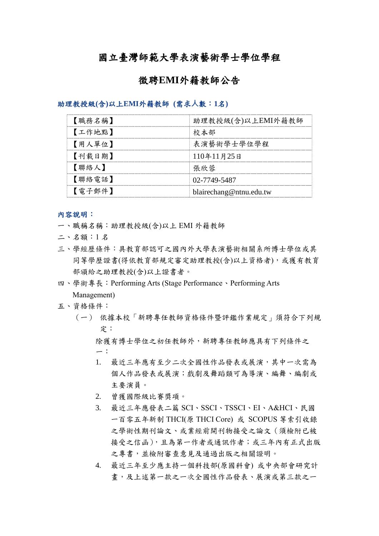## 國立臺灣師範大學表演藝術學士學位學程

#### 徵聘**EMI**外籍教師公告

助理教授級**(**含**)**以上**EMI**外籍教師 **(**需求**⼈**數:**1**名**)**

| 【職務名稱】 | 助理教授級(含)以上EMI外籍教師       |
|--------|-------------------------|
| 【工作地點】 | 校本部                     |
| 【用人單位】 | 表演藝術學士學位學程              |
| 【刊載日期】 | 110年11月25日              |
| 【聯絡人】  | 張欣蓉                     |
| 【聯絡電話】 | 02-7749-5487            |
| 【雷子郵件】 | blairechang@ntnu.edu.tw |

#### 內容說明:

- 一、職稱名稱:助理教授級(含)以上 EMI 外籍教師
- 二、名額:1 名
- 三、學經歷條件:具教育部認可之國內外大學表演藝術相關系所博士學位或其 同等學歷證書(得依教育部規定審定助理教授(含)以上資格者),或獲有教育 部頒給之助理教授(含)以上證書者。
- 四、學術專長:Performing Arts (Stage Performance、Performing Arts Management)

#### 五、資格條件:

(一) 依據本校「新聘專任教師資格條件暨評鑑作業規定」須符合下列規 定:

除獲有博士學位之初任教師外,新聘專任教師應具有下列條件之 一:

- 1. 最近三年應有至少二次全國性作品發表或展演,其中一次需為 個人作品發表或展演;戲劇及舞蹈類可為導演、編舞、編劇或 主要演員。
- 2. 曾獲國際級比賽獎項。
- 3. 最近三年應發表二篇 SCI、SSCI、TSSCI、EI、A&HCI、民國 一百零五年新制 THCI(原 THCI Core) 或 SCOPUS 等索引收錄 之學術性期刊論文、或業經前開刊物接受之論文(須檢附已被 接受之信函),且為第一作者或通訊作者;或三年內有正式出版 之專書,並檢附審查意見及通過出版之相關證明。
- 4. 最近三年至少應主持一個科技部(原國科會) 或中央部會研究計 畫,及上述第一款之一次全國性作品發表、展演或第三款之一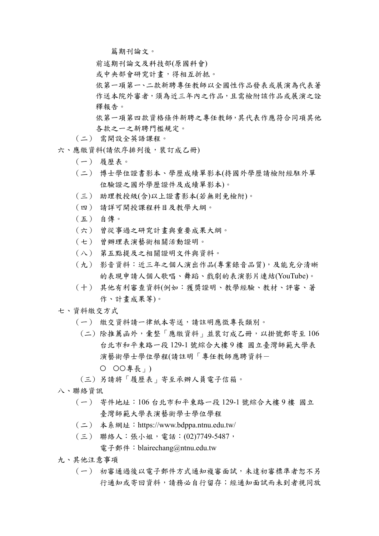篇期刊論文。

前述期刊論文及科技部(原國科會)

或中央部會研究計畫,得相互折抵。

依第一項第一、二款新聘專任教師以全國性作品發表或展演為代表著 作送本院外審者,須為近三年內之作品,且需檢附該作品或展演之詮 釋報告。

依第一項第四款資格條件新聘之專任教師,其代表作應符合同項其他 各款之一之新聘門檻規定。

- (二) 需開設全英語課程。
- 六、應繳資料(請依序排列後,裝訂成乙冊)
	- (一) 履歷表。
	- (二) 博士學位證書影本、學歷成績單影本(持國外學歷請檢附經駐外單 位驗證之國外學歷證件及成績單影本)。
	- (三) 助理教授級(含)以上證書影本(若無則免檢附)。
	- (四) 請詳可開授課程科目及教學大綱。
	- (五) 自傳。
	- (六) 曾從事過之研究計畫與重要成果大綱。
	- (七) 曾辦理表演藝術相關活動證明。
	- (八) 第五點提及之相關證明文件與資料。
	- (九) 影音資料:近三年之個人演出作品(專業錄音品質),及能充分清晰 的表現申請人個人歌唱、舞蹈、戲劇的表演影片連結(YouTube)。
	- (十) 其他有利審查資料(例如:獲獎證明、教學經驗、教材、評審、著 作、計畫成果等)。
- 七、資料繳交方式
	- (一) 繳交資料請一律紙本寄送,請註明應徵專長類別。
		- (二) 除推薦函外,彙整「應繳資料」並裝訂成乙冊,以掛號郵寄至 106 台北市和平東路一段 129-1 號綜合大樓 9 樓 國立臺灣師範大學表 演藝術學士學位學程(請註明「專任教師應聘資料-
			- ○○專長」)
	- (三) 另請將「履歷表」寄至承辦人員電子信箱。
- 八、聯絡資訊
	- (一) 寄件地址:106 台北市和平東路一段 129-1 號綜合大樓 9 樓 國立 臺灣師範大學表演藝術學士學位學程
	- (二) 本系網址:https://www.bdppa.ntnu.edu.tw/
	- (三) 聯絡人:張小姐,電話:(02)7749-5487,

電子郵件: blairechang@ntnu.edu.tw

- 九、其他注意事項
	- (一) 初審通過後以電子郵件方式通知複審面試,未達初審標準者恕不另 行通知或寄回資料,請務必自行留存;經通知面試而未到者視同放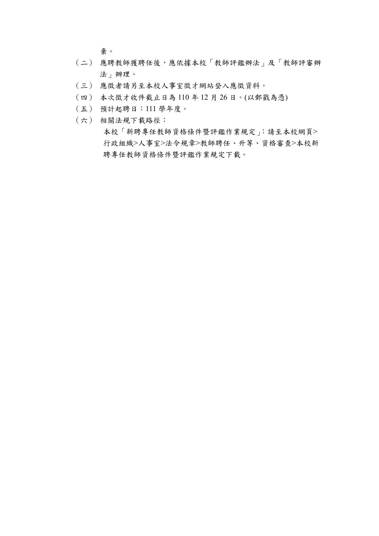棄。

- (二) 應聘教師獲聘任後,應依據本校「教師評鑑辦法」及「教師評審辦 法」辦理。
- (三) 應徵者請另至本校人事室徵才網站登入應徵資料。
- (四) 本次徵才收件截止日為 110 年 12 月 26 日。(以郵戳為憑)
- (五) 預計起聘日:111 學年度。
- (六) 相關法規下載路徑:

本校「新聘專任教師資格條件暨評鑑作業規定」:請至本校網頁> 行政組織>人事室>法令規章>教師聘任、升等、資格審查>本校新 聘專任教師資格條件暨評鑑作業規定下載。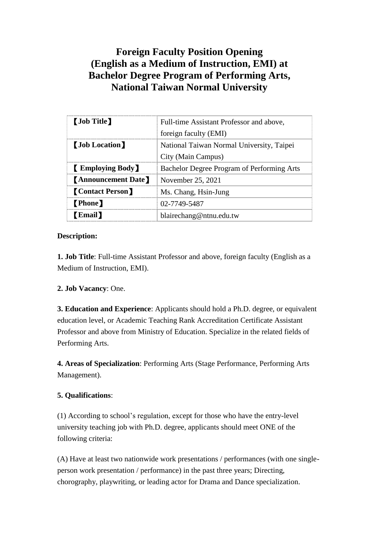# **Foreign Faculty Position Opening (English as a Medium of Instruction, EMI) at Bachelor Degree Program of Performing Arts, National Taiwan Normal University**

| <b>[Job Title]</b>         | Full-time Assistant Professor and above,   |
|----------------------------|--------------------------------------------|
|                            | foreign faculty (EMI)                      |
| <b>(Job Location)</b>      | National Taiwan Normal University, Taipei  |
|                            | City (Main Campus)                         |
| <b>Employing Body</b>      | Bachelor Degree Program of Performing Arts |
| <b>[Announcement Date]</b> | November 25, 2021                          |
| <b>[Contact Person]</b>    | Ms. Chang, Hsin-Jung                       |
| <b>[Phone]</b>             | 02-7749-5487                               |
| <b>Email</b>               | blairechang@ntnu.edu.tw                    |

### **Description:**

**1. Job Title**: Full-time Assistant Professor and above, foreign faculty (English as a Medium of Instruction, EMI).

#### **2. Job Vacancy**: One.

**3. Education and Experience**: Applicants should hold a Ph.D. degree, or equivalent education level, or Academic Teaching Rank Accreditation Certificate Assistant Professor and above from Ministry of Education. Specialize in the related fields of Performing Arts.

**4. Areas of Specialization**: Performing Arts (Stage Performance, Performing Arts Management).

#### **5. Qualifications**:

(1) According to school's regulation, except for those who have the entry-level university teaching job with Ph.D. degree, applicants should meet ONE of the following criteria:

(A) Have at least two nationwide work presentations / performances (with one singleperson work presentation / performance) in the past three years; Directing, chorography, playwriting, or leading actor for Drama and Dance specialization.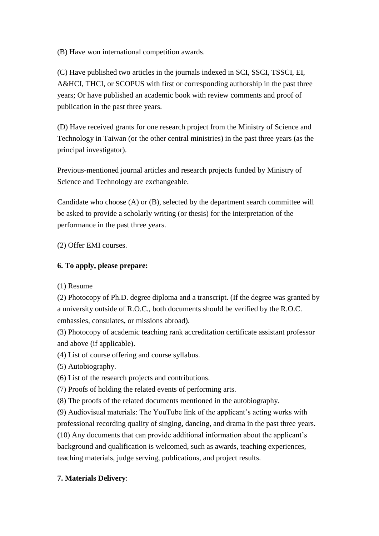(B) Have won international competition awards.

(C) Have published two articles in the journals indexed in SCI, SSCI, TSSCI, EI, A&HCI, THCI, or SCOPUS with first or corresponding authorship in the past three years; Or have published an academic book with review comments and proof of publication in the past three years.

(D) Have received grants for one research project from the Ministry of Science and Technology in Taiwan (or the other central ministries) in the past three years (as the principal investigator).

Previous-mentioned journal articles and research projects funded by Ministry of Science and Technology are exchangeable.

Candidate who choose (A) or (B), selected by the department search committee will be asked to provide a scholarly writing (or thesis) for the interpretation of the performance in the past three years.

(2) Offer EMI courses.

### **6. To apply, please prepare:**

(1) Resume

(2) Photocopy of Ph.D. degree diploma and a transcript. (If the degree was granted by a university outside of R.O.C., both documents should be verified by the R.O.C. embassies, consulates, or missions abroad).

(3) Photocopy of academic teaching rank accreditation certificate assistant professor and above (if applicable).

(4) List of course offering and course syllabus.

(5) Autobiography.

(6) List of the research projects and contributions.

(7) Proofs of holding the related events of performing arts.

(8) The proofs of the related documents mentioned in the autobiography.

(9) Audiovisual materials: The YouTube link of the applicant's acting works with professional recording quality of singing, dancing, and drama in the past three years.

(10) Any documents that can provide additional information about the applicant's background and qualification is welcomed, such as awards, teaching experiences, teaching materials, judge serving, publications, and project results.

## **7. Materials Delivery**: